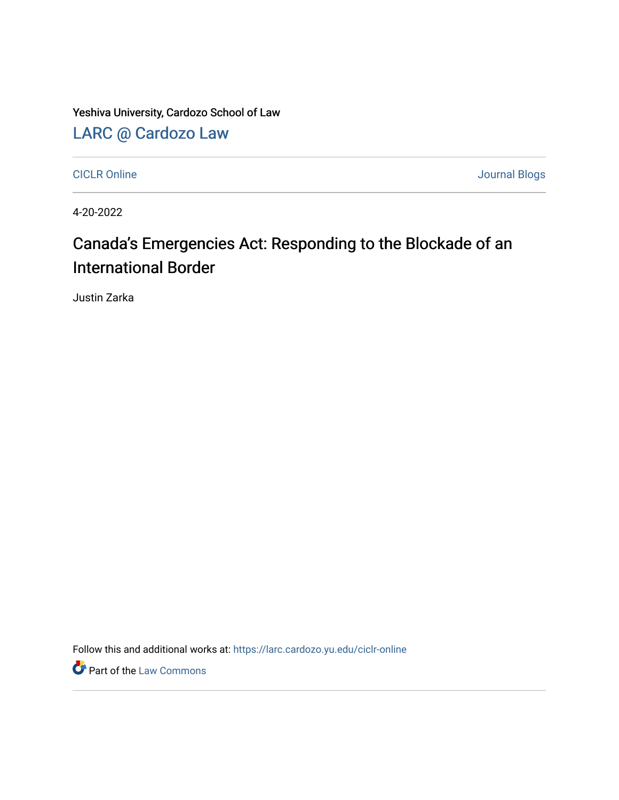Yeshiva University, Cardozo School of Law

[LARC @ Cardozo Law](https://larc.cardozo.yu.edu/)

[CICLR Online](https://larc.cardozo.yu.edu/ciclr-online) Journal Blogs

4-20-2022

## Canada's Emergencies Act: Responding to the Blockade of an International Border

Justin Zarka

Follow this and additional works at: [https://larc.cardozo.yu.edu/ciclr-online](https://larc.cardozo.yu.edu/ciclr-online?utm_source=larc.cardozo.yu.edu%2Fciclr-online%2F47&utm_medium=PDF&utm_campaign=PDFCoverPages) 

**P** Part of the [Law Commons](http://network.bepress.com/hgg/discipline/578?utm_source=larc.cardozo.yu.edu%2Fciclr-online%2F47&utm_medium=PDF&utm_campaign=PDFCoverPages)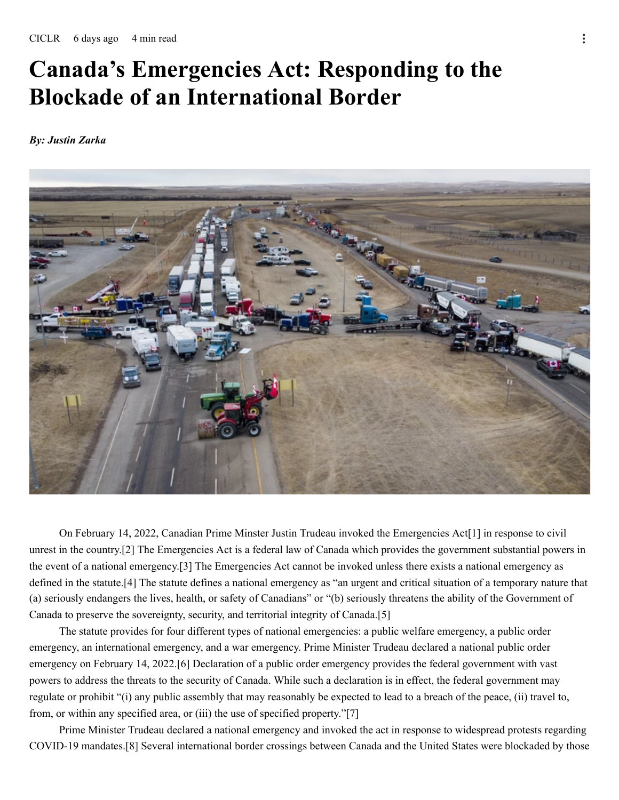## **Canada's Emergencies Act: Responding to the Blockade of an International Border**

*By: Justin Zarka*



On February 14, 2022, Canadian Prime Minster Justin Trudeau invoked the Emergencies Act[1] in response to civil unrest in the country.[2] The Emergencies Act is a federal law of Canada which provides the government substantial powers in the event of a national emergency.[3] The Emergencies Act cannot be invoked unless there exists a national emergency as defined in the statute.[4] The statute defines a national emergency as "an urgent and critical situation of a temporary nature that (a) seriously endangers the lives, health, or safety of Canadians" or "(b) seriously threatens the ability of the Government of Canada to preserve the sovereignty, security, and territorial integrity of Canada.[5]

The statute provides for four different types of national emergencies: a public welfare emergency, a public order emergency, an international emergency, and a war emergency. Prime Minister Trudeau declared a national public order emergency on February 14, 2022.[6] Declaration of a public order emergency provides the federal government with vast powers to address the threats to the security of Canada. While such a declaration is in effect, the federal government may regulate or prohibit "(i) any public assembly that may reasonably be expected to lead to a breach of the peace, (ii) travel to, from, or within any specified area, or (iii) the use of specified property."[7]

Prime Minister Trudeau declared a national emergency and invoked the act in response to widespread protests regarding COVID-19 mandates.[8] Several international border crossings between Canada and the United States were blockaded by those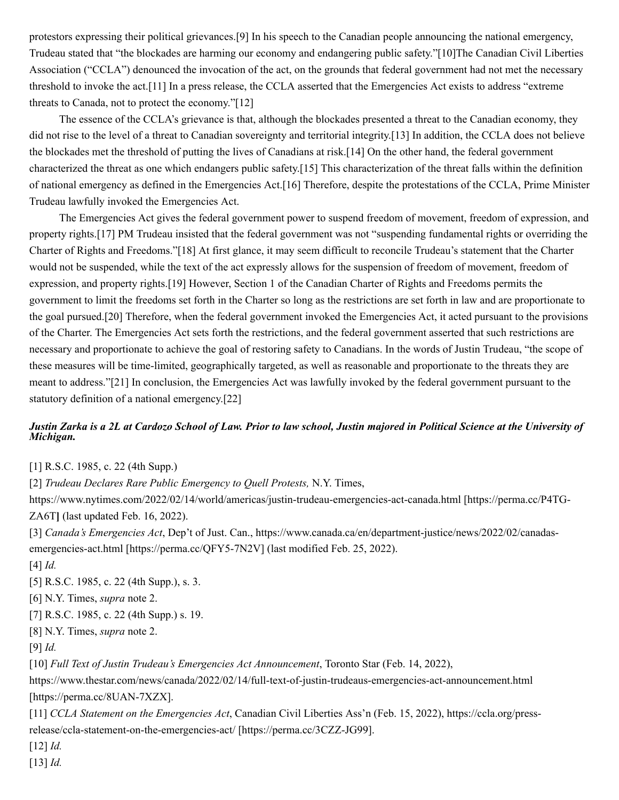protestors expressing their political grievances.[9] In his speech to the Canadian people announcing the national emergency, Trudeau stated that "the blockades are harming our economy and endangering public safety."[10]The Canadian Civil Liberties Association ("CCLA") denounced the invocation of the act, on the grounds that federal government had not met the necessary threshold to invoke the act.[11] In a press release, the CCLA asserted that the Emergencies Act exists to address "extreme threats to Canada, not to protect the economy."[12]

The essence of the CCLA's grievance is that, although the blockades presented a threat to the Canadian economy, they did not rise to the level of a threat to Canadian sovereignty and territorial integrity.[13] In addition, the CCLA does not believe the blockades met the threshold of putting the lives of Canadians at risk.[14] On the other hand, the federal government characterized the threat as one which endangers public safety.[15] This characterization of the threat falls within the definition of national emergency as defined in the Emergencies Act.[16] Therefore, despite the protestations of the CCLA, Prime Minister Trudeau lawfully invoked the Emergencies Act.

The Emergencies Act gives the federal government power to suspend freedom of movement, freedom of expression, and property rights.[17] PM Trudeau insisted that the federal government was not "suspending fundamental rights or overriding the Charter of Rights and Freedoms."[18] At first glance, it may seem difficult to reconcile Trudeau's statement that the Charter would not be suspended, while the text of the act expressly allows for the suspension of freedom of movement, freedom of expression, and property rights.[19] However, Section 1 of the Canadian Charter of Rights and Freedoms permits the government to limit the freedoms set forth in the Charter so long as the restrictions are set forth in law and are proportionate to the goal pursued.[20] Therefore, when the federal government invoked the Emergencies Act, it acted pursuant to the provisions of the Charter. The Emergencies Act sets forth the restrictions, and the federal government asserted that such restrictions are necessary and proportionate to achieve the goal of restoring safety to Canadians. In the words of Justin Trudeau, "the scope of these measures will be time-limited, geographically targeted, as well as reasonable and proportionate to the threats they are meant to address."[21] In conclusion, the Emergencies Act was lawfully invoked by the federal government pursuant to the statutory definition of a national emergency.[22]

## Justin Zarka is a 2L at Cardozo School of Law. Prior to law school, Justin majored in Political Science at the University of *Michigan.*

[1] R.S.C. 1985, c. 22 (4th Supp.)

[2] *Trudeau Declares Rare Public Emergency to Quell Protests,* N.Y. Times,

https://www.nytimes.com/2022/02/14/world/americas/justin-trudeau-emergencies-act-canada.html [https://perma.cc/P4TG-ZA6T**]** (last updated Feb. 16, 2022).

[3] *Canada's Emergencies Act*, Dep't of Just. Can., https://www.canada.ca/en/department-justice/news/2022/02/canadasemergencies-act.html [https://perma.cc/QFY5-7N2V] (last modified Feb. 25, 2022).

[4] *Id.*

[5] R.S.C. 1985, c. 22 (4th Supp.), s. 3.

[6] N.Y. Times, *supra* note 2.

[7] R.S.C. 1985, c. 22 (4th Supp.) s. 19.

[8] N.Y. Times, *supra* note 2.

[9] *Id.*

[10] *Full Text of Justin Trudeau's Emergencies Act Announcement*, Toronto Star (Feb. 14, 2022),

https://www.thestar.com/news/canada/2022/02/14/full-text-of-justin-trudeaus-emergencies-act-announcement.html [https://perma.cc/8UAN-7XZX].

[11] *CCLA Statement on the Emergencies Act*, Canadian Civil Liberties Ass'n (Feb. 15, 2022), https://ccla.org/pressrelease/ccla-statement-on-the-emergencies-act/ [https://perma.cc/3CZZ-JG99].

[12] *Id.*

[13] *Id.*